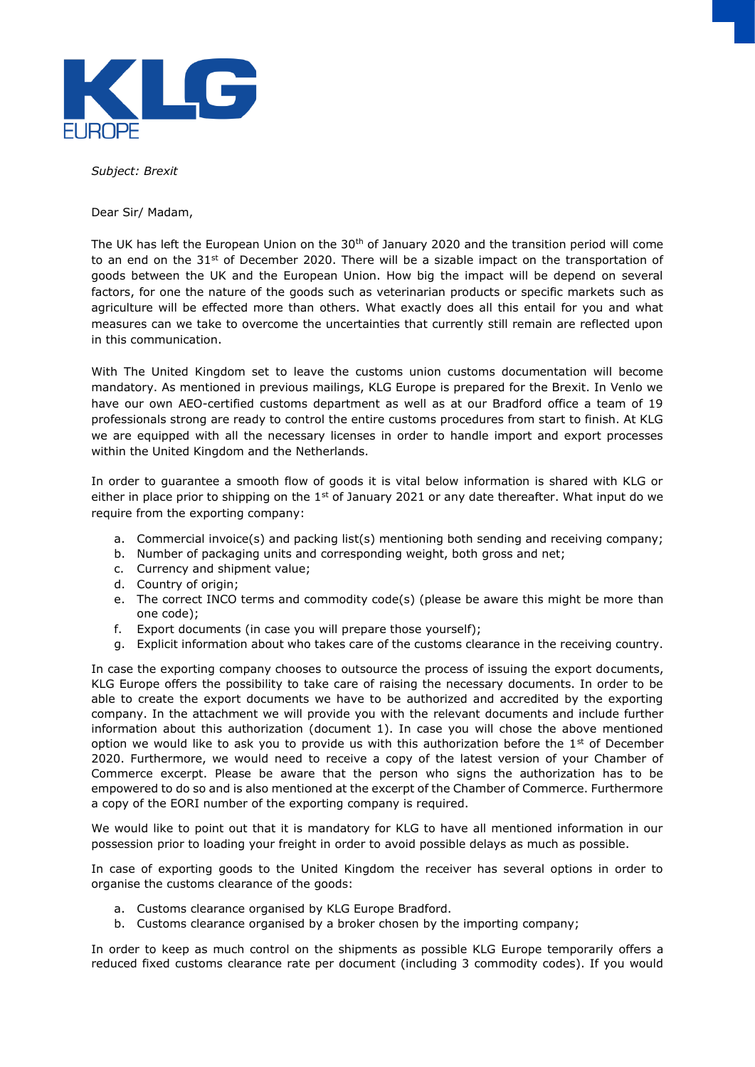

*Subject: Brexit* 

Dear Sir/ Madam,

The UK has left the European Union on the 30<sup>th</sup> of January 2020 and the transition period will come to an end on the 31<sup>st</sup> of December 2020. There will be a sizable impact on the transportation of goods between the UK and the European Union. How big the impact will be depend on several factors, for one the nature of the goods such as veterinarian products or specific markets such as agriculture will be effected more than others. What exactly does all this entail for you and what measures can we take to overcome the uncertainties that currently still remain are reflected upon in this communication.

With The United Kingdom set to leave the customs union customs documentation will become mandatory. As mentioned in previous mailings, KLG Europe is prepared for the Brexit. In Venlo we have our own AEO-certified customs department as well as at our Bradford office a team of 19 professionals strong are ready to control the entire customs procedures from start to finish. At KLG we are equipped with all the necessary licenses in order to handle import and export processes within the United Kingdom and the Netherlands.

In order to guarantee a smooth flow of goods it is vital below information is shared with KLG or either in place prior to shipping on the 1<sup>st</sup> of January 2021 or any date thereafter. What input do we require from the exporting company:

- a. Commercial invoice(s) and packing list(s) mentioning both sending and receiving company;
- b. Number of packaging units and corresponding weight, both gross and net;
- c. Currency and shipment value;
- d. Country of origin;
- e. The correct INCO terms and commodity code(s) (please be aware this might be more than one code);
- f. Export documents (in case you will prepare those yourself);
- g. Explicit information about who takes care of the customs clearance in the receiving country.

In case the exporting company chooses to outsource the process of issuing the export documents, KLG Europe offers the possibility to take care of raising the necessary documents. In order to be able to create the export documents we have to be authorized and accredited by the exporting company. In the attachment we will provide you with the relevant documents and include further information about this authorization (document 1). In case you will chose the above mentioned option we would like to ask you to provide us with this authorization before the  $1<sup>st</sup>$  of December 2020. Furthermore, we would need to receive a copy of the latest version of your Chamber of Commerce excerpt. Please be aware that the person who signs the authorization has to be empowered to do so and is also mentioned at the excerpt of the Chamber of Commerce. Furthermore a copy of the EORI number of the exporting company is required.

We would like to point out that it is mandatory for KLG to have all mentioned information in our possession prior to loading your freight in order to avoid possible delays as much as possible.

In case of exporting goods to the United Kingdom the receiver has several options in order to organise the customs clearance of the goods:

- a. Customs clearance organised by KLG Europe Bradford.
- b. Customs clearance organised by a broker chosen by the importing company;

In order to keep as much control on the shipments as possible KLG Europe temporarily offers a reduced fixed customs clearance rate per document (including 3 commodity codes). If you would